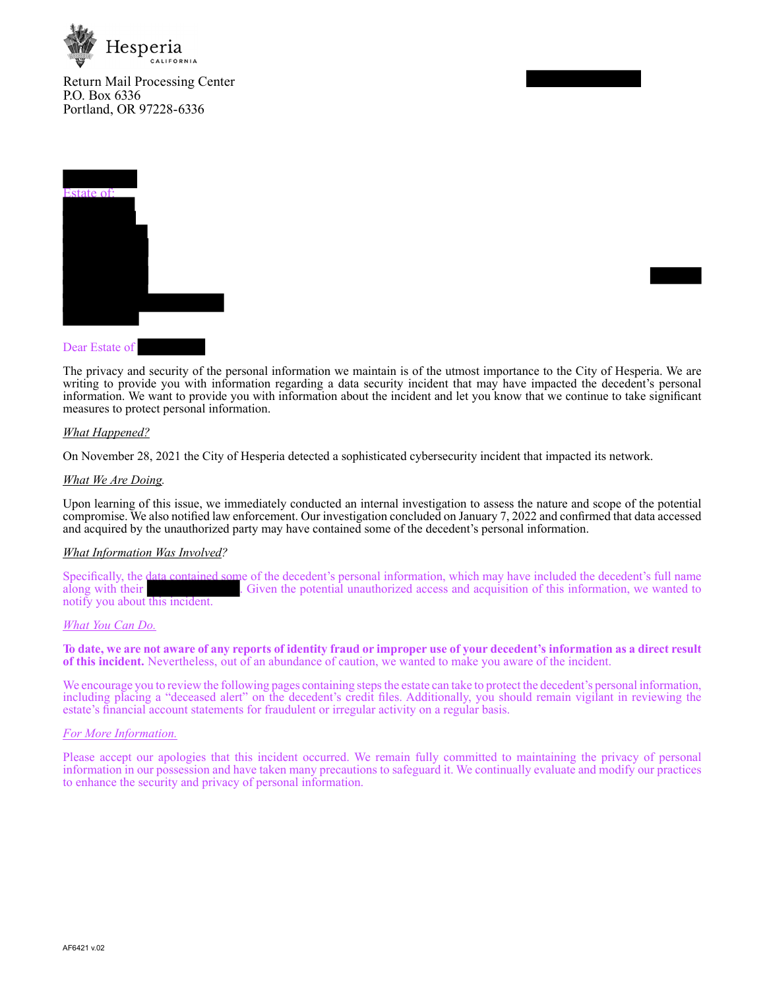

Return Mail Processing Center P.O. Box 6336 Portland, OR 97228-6336



### Dear Estate of

The privacy and security of the personal information we maintain is of the utmost importance to the City of Hesperia. We are writing to provide you with information regarding a data security incident that may have impacted the decedent's personal information. We want to provide you with information about the incident and let you know that we continue to take significant measures to protect personal information.

### *What Happened?*

On November 28, 2021 the City of Hesperia detected a sophisticated cybersecurity incident that impacted its network.

### *What We Are Doing.*

Upon learning of this issue, we immediately conducted an internal investigation to assess the nature and scope of the potential compromise. We also notified law enforcement. Our investigation concluded on January 7, 2022 and confirmed that data accessed and acquired by the unauthorized party may have contained some of the decedent's personal information.

## *What Information Was Involved?*

Specifically, the data contained some of the decedent's personal information, which may have included the decedent's full name along with their<br>along with their<br>diven the potential unauthorized access and acquisition of th . Given the potential unauthorized access and acquisition of this information, we wanted to notify you about this incident.

### *What You Can Do.*

**To date, we are not aware of any reports of identity fraud or improper use of your decedent's information as a direct result of this incident.** Nevertheless, out of an abundance of caution, we wanted to make you aware of the incident.

We encourage you to review the following pages containing steps the estate can take to protect the decedent's personal information, including placing a "deceased alert" on the decedent's credit files. Additionally, you should remain vigilant in reviewing the estate's financial account statements for fraudulent or irregular activity on a regular basis.

### *For More Information.*

Please accept our apologies that this incident occurred. We remain fully committed to maintaining the privacy of personal information in our possession and have taken many precautions to safeguard it. We continually evaluate and modify our practices to enhance the security and privacy of personal information.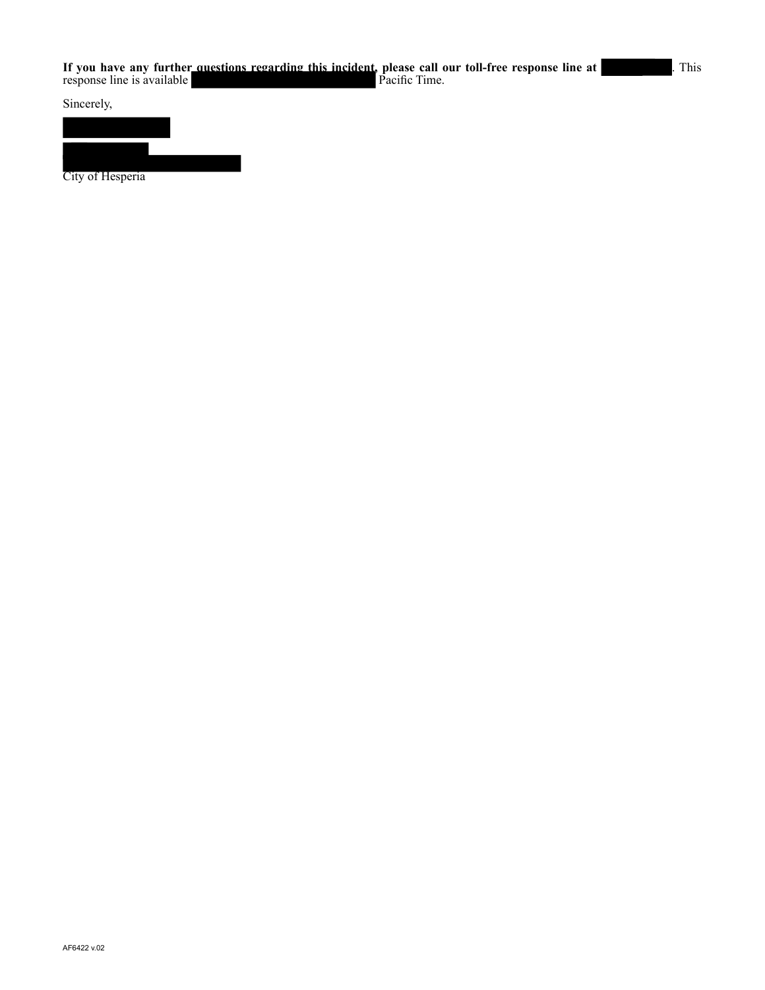Sincerely,



City of Hesperia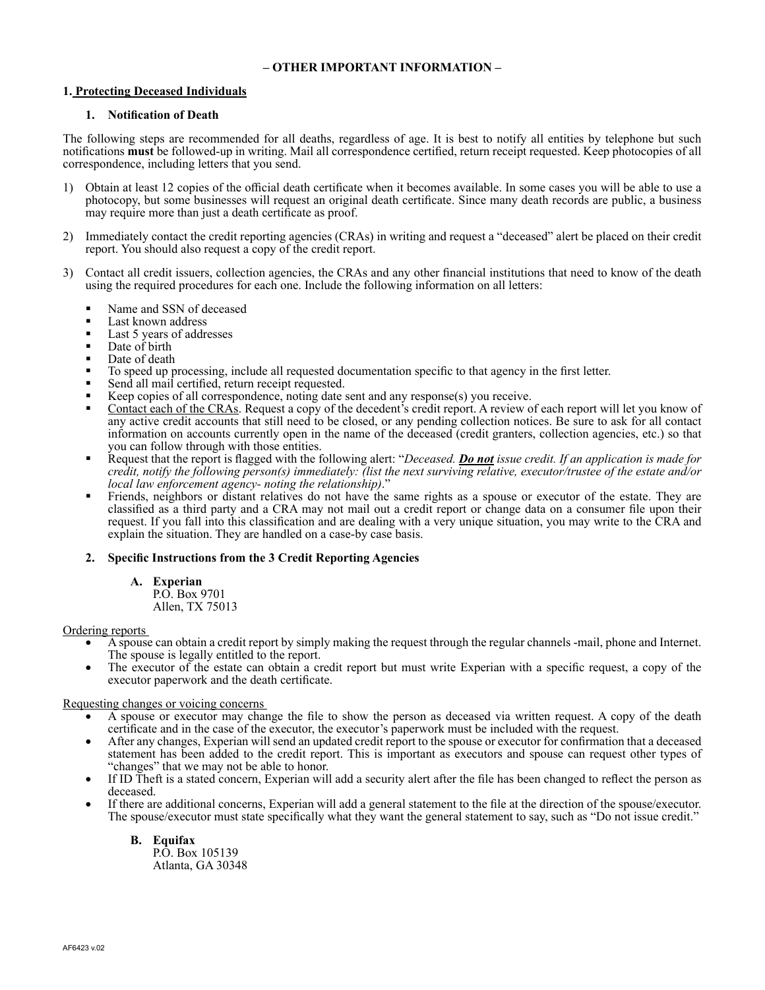# **– OTHER IMPORTANT INFORMATION –**

# **1. Protecting Deceased Individuals**

## **1. Notification of Death**

The following steps are recommended for all deaths, regardless of age. It is best to notify all entities by telephone but such notifications **must** be followed-up in writing. Mail all correspondence certified, return receipt requested. Keep photocopies of all correspondence, including letters that you send.

- 1) Obtain at least 12 copies of the official death certificate when it becomes available. In some cases you will be able to use a photocopy, but some businesses will request an original death certificate. Since many death records are public, a business may require more than just a death certificate as proof.
- 2) Immediately contact the credit reporting agencies (CRAs) in writing and request a "deceased" alert be placed on their credit report. You should also request a copy of the credit report.
- 3) Contact all credit issuers, collection agencies, the CRAs and any other financial institutions that need to know of the death using the required procedures for each one. Include the following information on all letters:
	- Name and SSN of deceased
	- Last known address
	- Last 5 years of addresses
	- Date of birth
	- Date of death
	- To speed up processing, include all requested documentation specific to that agency in the first letter.
	- Send all mail certified, return receipt requested.
	- Keep copies of all correspondence, noting date sent and any response(s) you receive.
	- Contact each of the CRAs. Request a copy of the decedent's credit report. A review of each report will let you know of any active credit accounts that still need to be closed, or any pending collection notices. Be sure to ask for all contact information on accounts currently open in the name of the deceased (credit granters, collection agencies, etc.) so that you can follow through with those entities.
	- Request that the report is flagged with the following alert: "*Deceased. Do not issue credit. If an application is made for credit, notify the following person(s) immediately: (list the next surviving relative, executor/trustee of the estate and/or local law enforcement agency- noting the relationship)*."
	- Friends, neighbors or distant relatives do not have the same rights as a spouse or executor of the estate. They are classified as a third party and a CRA may not mail out a credit report or change data on a consumer file upon their request. If you fall into this classification and are dealing with a very unique situation, you may write to the CRA and explain the situation. They are handled on a case-by case basis.

# **2. Specific Instructions from the 3 Credit Reporting Agencies**

**A. Experian**  P.O. Box 9701

Allen, TX 75013

## Ordering reports

- A spouse can obtain a credit report by simply making the request through the regular channels -mail, phone and Internet. The spouse is legally entitled to the report.
- The executor of the estate can obtain a credit report but must write Experian with a specific request, a copy of the executor paperwork and the death certificate.

## Requesting changes or voicing concerns

- A spouse or executor may change the file to show the person as deceased via written request. A copy of the death certificate and in the case of the executor, the executor's paperwork must be included with the request.
- • After any changes, Experian will send an updated credit report to the spouse or executor for confirmation that a deceased statement has been added to the credit report. This is important as executors and spouse can request other types of "changes" that we may not be able to honor.
- If ID Theft is a stated concern, Experian will add a security alert after the file has been changed to reflect the person as deceased.
- If there are additional concerns, Experian will add a general statement to the file at the direction of the spouse/executor. The spouse/executor must state specifically what they want the general statement to say, such as "Do not issue credit."

## **B. Equifax**

P.O. Box 105139 Atlanta, GA 30348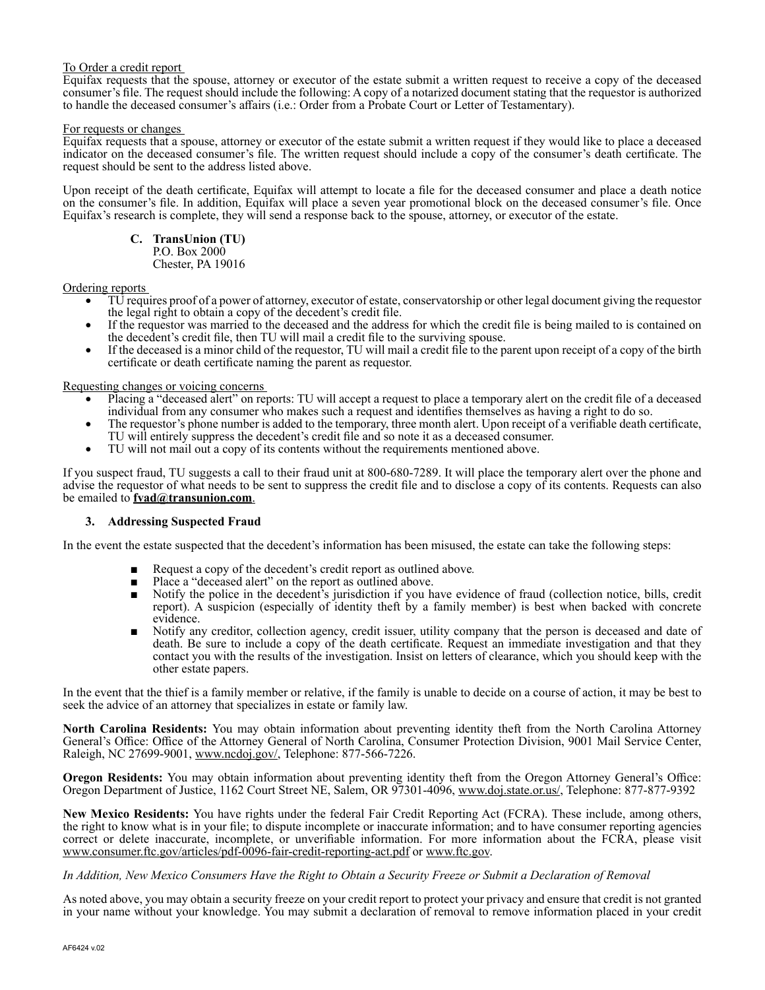## To Order a credit report

Equifax requests that the spouse, attorney or executor of the estate submit a written request to receive a copy of the deceased consumer's file. The request should include the following: A copy of a notarized document stating that the requestor is authorized to handle the deceased consumer's affairs (i.e.: Order from a Probate Court or Letter of Testamentary).

### For requests or changes

Equifax requests that a spouse, attorney or executor of the estate submit a written request if they would like to place a deceased indicator on the deceased consumer's file. The written request should include a copy of the consumer's death certificate. The request should be sent to the address listed above.

Upon receipt of the death certificate, Equifax will attempt to locate a file for the deceased consumer and place a death notice on the consumer's file. In addition, Equifax will place a seven year promotional block on the deceased consumer's file. Once Equifax's research is complete, they will send a response back to the spouse, attorney, or executor of the estate.

**C. TransUnion (TU)**  P.O. Box 2000 Chester, PA 19016

Ordering reports

- TU requires proof of a power of attorney, executor of estate, conservatorship or other legal document giving the requestor the legal right to obtain a copy of the decedent's credit file.
- If the requestor was married to the deceased and the address for which the credit file is being mailed to is contained on the decedent's credit file, then TU will mail a credit file to the surviving spouse.
- • If the deceased is a minor child of the requestor, TU will mail a credit file to the parent upon receipt of a copy of the birth certificate or death certificate naming the parent as requestor.

Requesting changes or voicing concerns

- Placing a "deceased alert" on reports: TU will accept a request to place a temporary alert on the credit file of a deceased individual from any consumer who makes such a request and identifies themselves as having a right to do so.
- The requestor's phone number is added to the temporary, three month alert. Upon receipt of a verifiable death certificate, TU will entirely suppress the decedent's credit file and so note it as a deceased consumer.
- TU will not mail out a copy of its contents without the requirements mentioned above.

If you suspect fraud, TU suggests a call to their fraud unit at 800-680-7289. It will place the temporary alert over the phone and advise the requestor of what needs to be sent to suppress the credit file and to disclose a copy of its contents. Requests can also be emailed to **fvad@transunion.com**.

## **3. Addressing Suspected Fraud**

In the event the estate suspected that the decedent's information has been misused, the estate can take the following steps:

- Request a copy of the decedent's credit report as outlined above.
- Place a "deceased alert" on the report as outlined above.
- Notify the police in the decedent's jurisdiction if you have evidence of fraud (collection notice, bills, credit report). A suspicion (especially of identity theft by a family member) is best when backed with concrete evidence.
- Notify any creditor, collection agency, credit issuer, utility company that the person is deceased and date of death. Be sure to include a copy of the death certificate. Request an immediate investigation and that they contact you with the results of the investigation. Insist on letters of clearance, which you should keep with the other estate papers.

In the event that the thief is a family member or relative, if the family is unable to decide on a course of action, it may be best to seek the advice of an attorney that specializes in estate or family law.

**North Carolina Residents:** You may obtain information about preventing identity theft from the North Carolina Attorney General's Office: Office of the Attorney General of North Carolina, Consumer Protection Division, 9001 Mail Service Center, Raleigh, NC 27699-9001, www.ncdoj.gov/, Telephone: 877-566-7226.

**Oregon Residents:** You may obtain information about preventing identity theft from the Oregon Attorney General's Office: Oregon Department of Justice, 1162 Court Street NE, Salem, OR 97301-4096, www.doj.state.or.us/, Telephone: 877-877-9392

**New Mexico Residents:** You have rights under the federal Fair Credit Reporting Act (FCRA). These include, among others, the right to know what is in your file; to dispute incomplete or inaccurate information; and to have consumer reporting agencies correct or delete inaccurate, incomplete, or unverifiable information. For more information about the FCRA, please visit www.consumer.ftc.gov/articles/pdf-0096-fair-credit-reporting-act.pdf or www.ftc.gov.

## *In Addition, New Mexico Consumers Have the Right to Obtain a Security Freeze or Submit a Declaration of Removal*

As noted above, you may obtain a security freeze on your credit report to protect your privacy and ensure that credit is not granted in your name without your knowledge. You may submit a declaration of removal to remove information placed in your credit